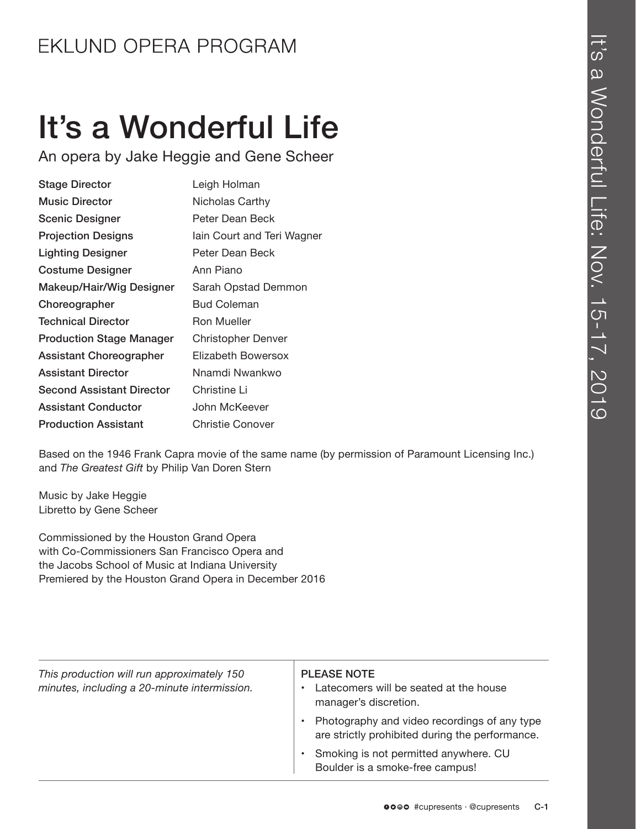# It's a Wonderful Life

An opera by Jake Heggie and Gene Scheer

| <b>Stage Director</b>            | Leigh Holman               |
|----------------------------------|----------------------------|
| <b>Music Director</b>            | Nicholas Carthy            |
| <b>Scenic Designer</b>           | Peter Dean Beck            |
| <b>Projection Designs</b>        | lain Court and Teri Wagner |
| <b>Lighting Designer</b>         | Peter Dean Beck            |
| <b>Costume Designer</b>          | Ann Piano                  |
| Makeup/Hair/Wig Designer         | Sarah Opstad Demmon        |
| Choreographer                    | <b>Bud Coleman</b>         |
| <b>Technical Director</b>        | <b>Ron Mueller</b>         |
| <b>Production Stage Manager</b>  | <b>Christopher Denver</b>  |
| Assistant Choreographer          | Elizabeth Bowersox         |
| <b>Assistant Director</b>        | Nnamdi Nwankwo             |
| <b>Second Assistant Director</b> | Christine Li               |
| <b>Assistant Conductor</b>       | John McKeever              |
| <b>Production Assistant</b>      | Christie Conover           |

Based on the 1946 Frank Capra movie of the same name (by permission of Paramount Licensing Inc.) and *The Greatest Gift* by Philip Van Doren Stern

Music by Jake Heggie Libretto by Gene Scheer

Commissioned by the Houston Grand Opera with Co-Commissioners San Francisco Opera and the Jacobs School of Music at Indiana University Premiered by the Houston Grand Opera in December 2016

| This production will run approximately 150<br>minutes, including a 20-minute intermission. | <b>PLEASE NOTE</b><br>Latecomers will be seated at the house<br>manager's discretion.           |
|--------------------------------------------------------------------------------------------|-------------------------------------------------------------------------------------------------|
|                                                                                            | Photography and video recordings of any type<br>are strictly prohibited during the performance. |
|                                                                                            | Smoking is not permitted anywhere. CU<br>Boulder is a smoke-free campus!                        |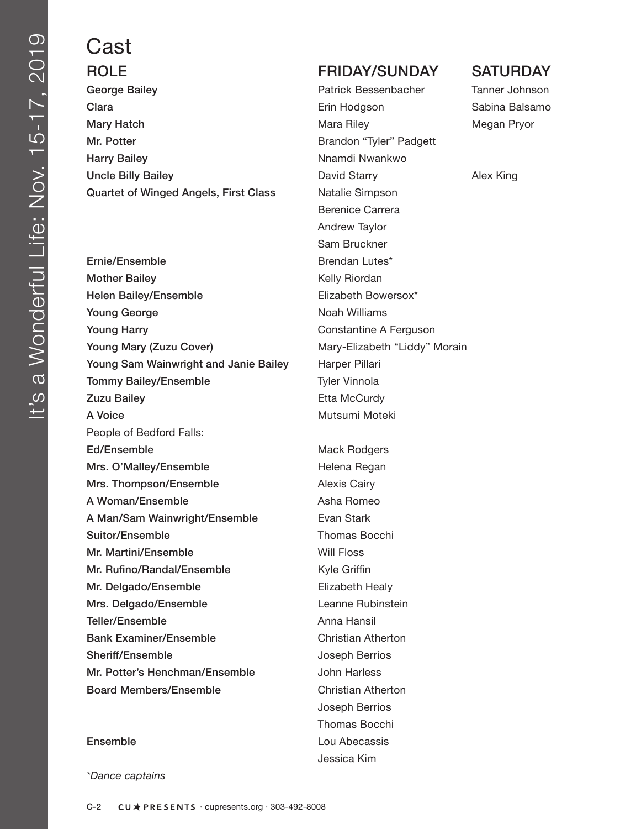# Cast

George Bailey **Patrick Bessenbacher** Tanner Johnson **Clara Erin Hodgson** Sabina Balsamo Clara Sabina Balsamo Clara Sabina Balsamo Clara Sabina Balsamo Mary Hatch **Mary Hatch Mary Hatch Mary Hatch** Megan Pryor Mr. Potter **Brandon** "Tyler" Padgett Harry Bailey **Nights and Struth American** Number Nights Number Number 2016 Uncle Billy Bailey **David Starry Alex King** David Starry **Alex King** Quartet of Winged Angels, First Class Natalie Simpson

Ernie/Ensemble Brendan Lutes\* Mother Bailey **Kelly Riordan** Helen Bailey/Ensemble Elizabeth Bowersox\* Young George Noah Williams Young Harry **Constantine A Ferguson** Young Mary (Zuzu Cover) Mary-Elizabeth "Liddy" Morain Young Sam Wainwright and Janie Bailey Harper Pillari **Tommy Bailey/Ensemble** Tyler Vinnola Zuzu Bailey **Etta McCurdy** A Voice Mutsumi Moteki People of Bedford Falls: Ed/Ensemble Mack Rodgers Mrs. O'Malley/Ensemble Helena Regan Mrs. Thompson/Ensemble **Alexis Cairy** A Woman/Ensemble Asha Romeo A Man/Sam Wainwright/Ensemble Evan Stark Suitor/Ensemble Thomas Bocchi Mr. Martini/Ensemble Will Floss Mr. Rufino/Randal/Ensemble **Kyle Griffin** Mr. Delgado/Ensemble Elizabeth Healy Mrs. Delgado/Ensemble Leanne Rubinstein Teller/Ensemble **Anna Hansil** Bank Examiner/Ensemble Christian Atherton Sheriff/Ensemble Joseph Berrios Mr. Potter's Henchman/Ensemble John Harless Board Members/Ensemble Christian Atherton

*\*Dance captains*

### ROLE **FRIDAY/SUNDAY SATURDAY**

 Berenice Carrera Andrew Taylor Sam Bruckner

 Joseph Berrios Thomas Bocchi Ensemble **Lou Abecassis** Jessica Kim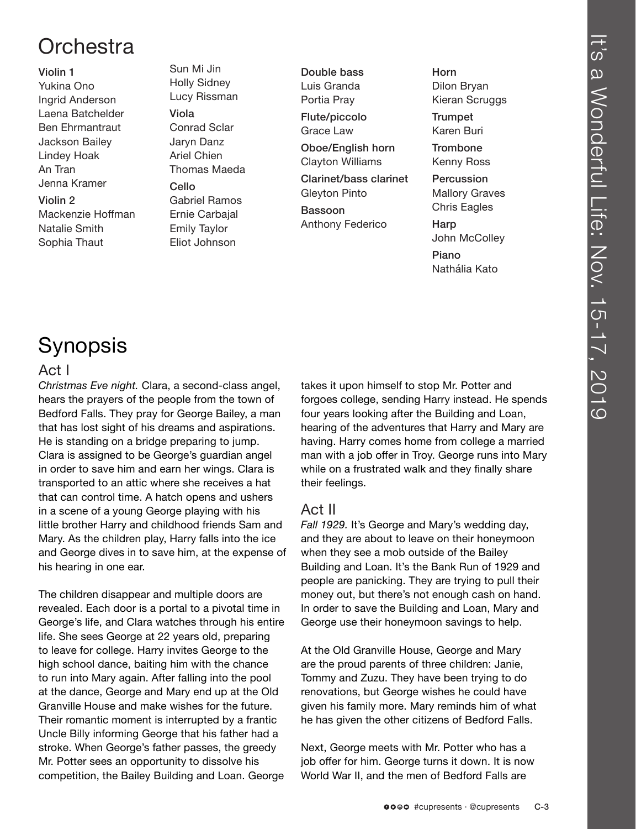## **Orchestra**

### Violin 1 Yukina Ono Ingrid Anderson Laena Batchelder Ben Ehrmantraut Jackson Bailey Lindey Hoak An Tran Jenna Kramer Violin 2

Mackenzie Hoffman Natalie Smith Sophia Thaut

Sun Mi Jin Holly Sidney Lucy Rissman Viola Conrad Sclar Jaryn Danz Ariel Chien Thomas Maeda Cello Gabriel Ramos Ernie Carbajal Emily Taylor

Eliot Johnson

Double bass Luis Granda Portia Pray

Flute/piccolo Grace Law

Oboe/English horn Clayton Williams

Clarinet/bass clarinet Gleyton Pinto

Bassoon Anthony Federico Horn Dilon Bryan Kieran Scruggs

**Trumpet** Karen Buri

**Trombone** Kenny Ross

Percussion Mallory Graves Chris Eagles

Harp John McColley

Piano Nathália Kato

# Synopsis

### Act I

*Christmas Eve night.* Clara, a second-class angel, hears the prayers of the people from the town of Bedford Falls. They pray for George Bailey, a man that has lost sight of his dreams and aspirations. He is standing on a bridge preparing to jump. Clara is assigned to be George's guardian angel in order to save him and earn her wings. Clara is transported to an attic where she receives a hat that can control time. A hatch opens and ushers in a scene of a young George playing with his little brother Harry and childhood friends Sam and Mary. As the children play, Harry falls into the ice and George dives in to save him, at the expense of his hearing in one ear.

The children disappear and multiple doors are revealed. Each door is a portal to a pivotal time in George's life, and Clara watches through his entire life. She sees George at 22 years old, preparing to leave for college. Harry invites George to the high school dance, baiting him with the chance to run into Mary again. After falling into the pool at the dance, George and Mary end up at the Old Granville House and make wishes for the future. Their romantic moment is interrupted by a frantic Uncle Billy informing George that his father had a stroke. When George's father passes, the greedy Mr. Potter sees an opportunity to dissolve his competition, the Bailey Building and Loan. George takes it upon himself to stop Mr. Potter and forgoes college, sending Harry instead. He spends four years looking after the Building and Loan, hearing of the adventures that Harry and Mary are having. Harry comes home from college a married man with a job offer in Troy. George runs into Mary while on a frustrated walk and they finally share their feelings.

### Act II

*Fall 1929.* It's George and Mary's wedding day, and they are about to leave on their honeymoon when they see a mob outside of the Bailey Building and Loan. It's the Bank Run of 1929 and people are panicking. They are trying to pull their money out, but there's not enough cash on hand. In order to save the Building and Loan, Mary and George use their honeymoon savings to help.

At the Old Granville House, George and Mary are the proud parents of three children: Janie, Tommy and Zuzu. They have been trying to do renovations, but George wishes he could have given his family more. Mary reminds him of what he has given the other citizens of Bedford Falls.

Next, George meets with Mr. Potter who has a job offer for him. George turns it down. It is now World War II, and the men of Bedford Falls are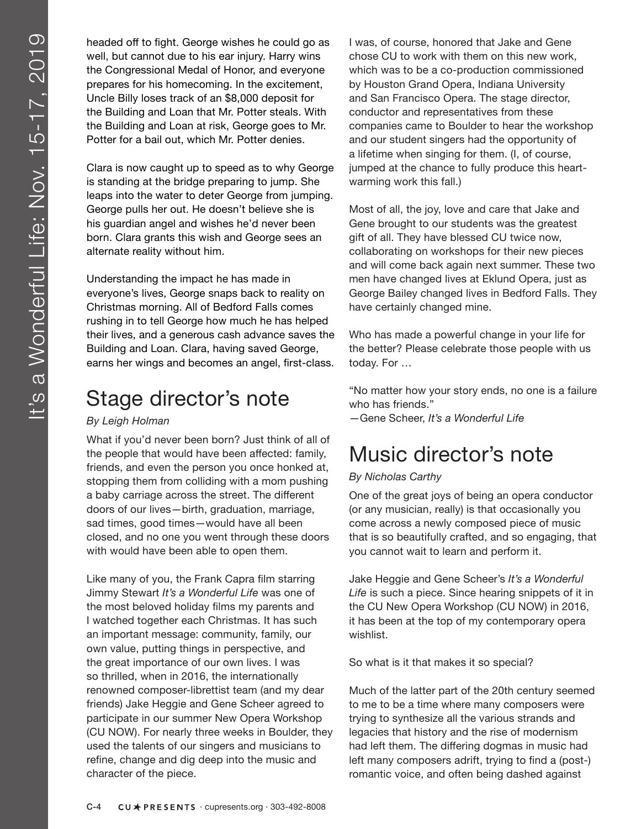headed off to fight. George wishes he could go as well, but cannot due to his ear injury. Harry wins the Congressional Medal of Honor, and everyone prepares for his homecoming. In the excitement, Uncle Billy loses track of an \$8,000 deposit for the Building and Loan that Mr. Potter steals. With the Building and Loan at risk, George goes to Mr. Potter for a bail out, which Mr. Potter denies.

Clara is now caught up to speed as to why George is standing at the bridge preparing to jump. She leaps into the water to deter George from jumping. George pulls her out. He doesn't believe she is his guardian angel and wishes he'd never been born. Clara grants this wish and George sees an alternate reality without him.

Understanding the impact he has made in everyone's lives, George snaps back to reality on Christmas morning. All of Bedford Falls comes rushing in to tell George how much he has helped their lives, and a generous cash advance saves the Building and Loan. Clara, having saved George, earns her wings and becomes an angel, first-class.

## Stage director's note

### *By Leigh Holman*

What if you'd never been born? Just think of all of the people that would have been affected: family, friends, and even the person you once honked at, stopping them from colliding with a mom pushing a baby carriage across the street. The different doors of our lives—birth, graduation, marriage, sad times, good times—would have all been closed, and no one you went through these doors with would have been able to open them.

Like many of you, the Frank Capra film starring Jimmy Stewart *It's a Wonderful Life* was one of the most beloved holiday films my parents and I watched together each Christmas. It has such an important message: community, family, our own value, putting things in perspective, and the great importance of our own lives. I was so thrilled, when in 2016, the internationally renowned composer-librettist team (and my dear friends) Jake Heggie and Gene Scheer agreed to participate in our summer New Opera Workshop (CU NOW). For nearly three weeks in Boulder, they used the talents of our singers and musicians to refine, change and dig deep into the music and character of the piece.

I was, of course, honored that Jake and Gene chose CU to work with them on this new work, which was to be a co-production commissioned by Houston Grand Opera, Indiana University and San Francisco Opera. The stage director, conductor and representatives from these companies came to Boulder to hear the workshop and our student singers had the opportunity of a lifetime when singing for them. (I, of course, jumped at the chance to fully produce this heartwarming work this fall.)

Most of all, the joy, love and care that Jake and Gene brought to our students was the greatest gift of all. They have blessed CU twice now, collaborating on workshops for their new pieces and will come back again next summer. These two men have changed lives at Eklund Opera, just as George Bailey changed lives in Bedford Falls. They have certainly changed mine.

Who has made a powerful change in your life for the better? Please celebrate those people with us today. For …

"No matter how your story ends, no one is a failure who has friends."

—Gene Scheer, *It's a Wonderful Life*

## Music director's note

### *By Nicholas Carthy*

One of the great joys of being an opera conductor (or any musician, really) is that occasionally you come across a newly composed piece of music that is so beautifully crafted, and so engaging, that you cannot wait to learn and perform it.

Jake Heggie and Gene Scheer's *It's a Wonderful Life* is such a piece. Since hearing snippets of it in the CU New Opera Workshop (CU NOW) in 2016, it has been at the top of my contemporary opera wishlist.

So what is it that makes it so special?

Much of the latter part of the 20th century seemed to me to be a time where many composers were trying to synthesize all the various strands and legacies that history and the rise of modernism had left them. The differing dogmas in music had left many composers adrift, trying to find a (post-) romantic voice, and often being dashed against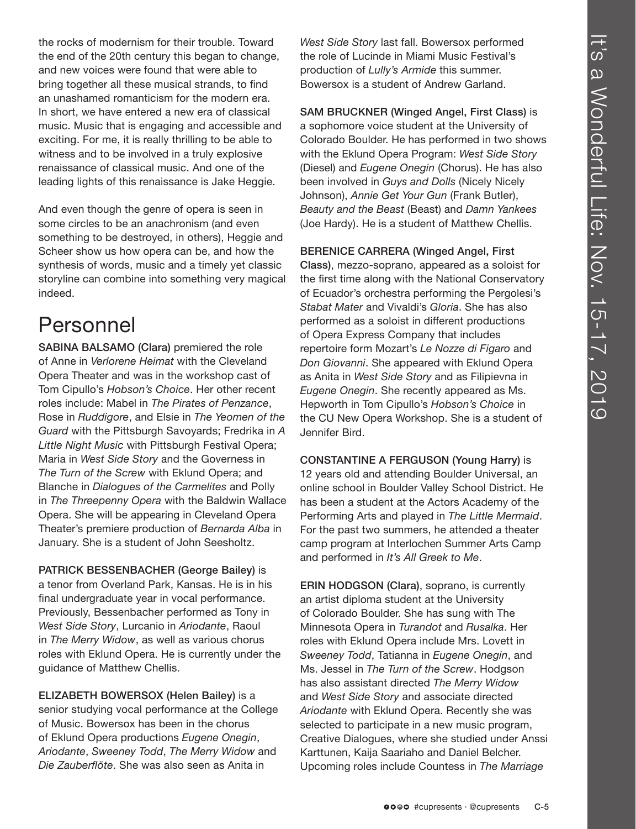the rocks of modernism for their trouble. Toward the end of the 20th century this began to change, and new voices were found that were able to bring together all these musical strands, to find an unashamed romanticism for the modern era. In short, we have entered a new era of classical music. Music that is engaging and accessible and exciting. For me, it is really thrilling to be able to witness and to be involved in a truly explosive renaissance of classical music. And one of the leading lights of this renaissance is Jake Heggie.

And even though the genre of opera is seen in some circles to be an anachronism (and even something to be destroyed, in others), Heggie and Scheer show us how opera can be, and how the synthesis of words, music and a timely yet classic storyline can combine into something very magical indeed.

## Personnel

SABINA BALSAMO (Clara) premiered the role of Anne in *Verlorene Heimat* with the Cleveland Opera Theater and was in the workshop cast of Tom Cipullo's *Hobson's Choice*. Her other recent roles include: Mabel in *The Pirates of Penzance*, Rose in *Ruddigore*, and Elsie in *The Yeomen of the Guard* with the Pittsburgh Savoyards; Fredrika in *A Little Night Music* with Pittsburgh Festival Opera; Maria in *West Side Story* and the Governess in *The Turn of the Screw* with Eklund Opera; and Blanche in *Dialogues of the Carmelites* and Polly in *The Threepenny Opera* with the Baldwin Wallace Opera. She will be appearing in Cleveland Opera Theater's premiere production of *Bernarda Alba* in January. She is a student of John Seesholtz.

PATRICK BESSENBACHER (George Bailey) is a tenor from Overland Park, Kansas. He is in his final undergraduate year in vocal performance. Previously, Bessenbacher performed as Tony in *West Side Story*, Lurcanio in *Ariodante*, Raoul in *The Merry Widow*, as well as various chorus roles with Eklund Opera. He is currently under the guidance of Matthew Chellis.

ELIZABETH BOWERSOX (Helen Bailey) is a senior studying vocal performance at the College of Music. Bowersox has been in the chorus of Eklund Opera productions *Eugene Onegin*, *Ariodante*, *Sweeney Todd*, *The Merry Widow* and *Die Zauberflöte*. She was also seen as Anita in

*West Side Story* last fall. Bowersox performed the role of Lucinde in Miami Music Festival's production of *Lully's Armide* this summer. Bowersox is a student of Andrew Garland.

SAM BRUCKNER (Winged Angel, First Class) is a sophomore voice student at the University of Colorado Boulder. He has performed in two shows with the Eklund Opera Program: *West Side Story*  (Diesel) and *Eugene Onegin* (Chorus). He has also been involved in *Guys and Dolls* (Nicely Nicely Johnson), *Annie Get Your Gun* (Frank Butler), *Beauty and the Beast* (Beast) and *Damn Yankees* (Joe Hardy). He is a student of Matthew Chellis.

BERENICE CARRERA (Winged Angel, First Class), mezzo-soprano, appeared as a soloist for the first time along with the National Conservatory of Ecuador's orchestra performing the Pergolesi's *Stabat Mater* and Vivaldi's *Gloria*. She has also performed as a soloist in different productions of Opera Express Company that includes repertoire form Mozart's *Le Nozze di Figaro* and *Don Giovanni*. She appeared with Eklund Opera as Anita in *West Side Story* and as Filipievna in *Eugene Onegin*. She recently appeared as Ms. Hepworth in Tom Cipullo's *Hobson's Choice* in the CU New Opera Workshop. She is a student of Jennifer Bird.

CONSTANTINE A FERGUSON (Young Harry) is 12 years old and attending Boulder Universal, an online school in Boulder Valley School District. He has been a student at the Actors Academy of the Performing Arts and played in *The Little Mermaid*. For the past two summers, he attended a theater camp program at Interlochen Summer Arts Camp and performed in *It's All Greek to Me*.

ERIN HODGSON (Clara), soprano, is currently an artist diploma student at the University of Colorado Boulder. She has sung with The Minnesota Opera in *Turandot* and *Rusalka*. Her roles with Eklund Opera include Mrs. Lovett in *Sweeney Todd*, Tatianna in *Eugene Onegin*, and Ms. Jessel in *The Turn of the Screw*. Hodgson has also assistant directed *The Merry Widow* and *West Side Story* and associate directed *Ariodante* with Eklund Opera. Recently she was selected to participate in a new music program, Creative Dialogues, where she studied under Anssi Karttunen, Kaija Saariaho and Daniel Belcher. Upcoming roles include Countess in *The Marriage*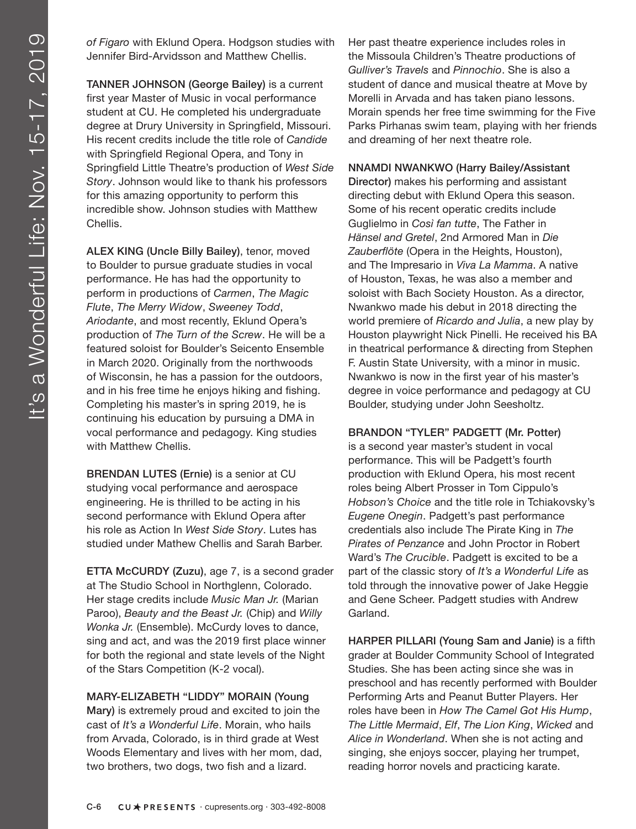*of Figaro* with Eklund Opera. Hodgson studies with Jennifer Bird-Arvidsson and Matthew Chellis.

TANNER JOHNSON (George Bailey) is a current first year Master of Music in vocal performance student at CU. He completed his undergraduate degree at Drury University in Springfield, Missouri. His recent credits include the title role of *Candide* with Springfield Regional Opera, and Tony in Springfield Little Theatre's production of *West Side Story*. Johnson would like to thank his professors for this amazing opportunity to perform this incredible show. Johnson studies with Matthew Chellis.

ALEX KING (Uncle Billy Bailey), tenor, moved to Boulder to pursue graduate studies in vocal performance. He has had the opportunity to perform in productions of *Carmen*, *The Magic Flute*, *The Merry Widow*, *Sweeney Todd*, *Ariodante*, and most recently, Eklund Opera's production of *The Turn of the Screw*. He will be a featured soloist for Boulder's Seicento Ensemble in March 2020. Originally from the northwoods of Wisconsin, he has a passion for the outdoors, and in his free time he enjoys hiking and fishing. Completing his master's in spring 2019, he is continuing his education by pursuing a DMA in vocal performance and pedagogy. King studies with Matthew Chellis.

BRENDAN LUTES (Ernie) is a senior at CU studying vocal performance and aerospace engineering. He is thrilled to be acting in his second performance with Eklund Opera after his role as Action In *West Side Story*. Lutes has studied under Mathew Chellis and Sarah Barber.

ETTA McCURDY (Zuzu), age 7, is a second grader at The Studio School in Northglenn, Colorado. Her stage credits include *Music Man Jr.* (Marian Paroo), *Beauty and the Beast Jr.* (Chip) and *Willy Wonka Jr.* (Ensemble). McCurdy loves to dance, sing and act, and was the 2019 first place winner for both the regional and state levels of the Night of the Stars Competition (K-2 vocal).

### MARY-ELIZABETH "LIDDY" MORAIN (Young

Mary) is extremely proud and excited to join the cast of *It's a Wonderful Life*. Morain, who hails from Arvada, Colorado, is in third grade at West Woods Elementary and lives with her mom, dad, two brothers, two dogs, two fish and a lizard.

Her past theatre experience includes roles in the Missoula Children's Theatre productions of *Gulliver's Travels* and *Pinnochio*. She is also a student of dance and musical theatre at Move by Morelli in Arvada and has taken piano lessons. Morain spends her free time swimming for the Five Parks Pirhanas swim team, playing with her friends and dreaming of her next theatre role.

### NNAMDI NWANKWO (Harry Bailey/Assistant

Director) makes his performing and assistant directing debut with Eklund Opera this season. Some of his recent operatic credits include Guglielmo in *Così fan tutte*, The Father in *Hänsel and Gretel*, 2nd Armored Man in *Die Zauberflöte* (Opera in the Heights, Houston), and The Impresario in *Viva La Mamma*. A native of Houston, Texas, he was also a member and soloist with Bach Society Houston. As a director, Nwankwo made his debut in 2018 directing the world premiere of *Ricardo and Julia*, a new play by Houston playwright Nick Pinelli. He received his BA in theatrical performance & directing from Stephen F. Austin State University, with a minor in music. Nwankwo is now in the first year of his master's degree in voice performance and pedagogy at CU Boulder, studying under John Seesholtz.

### BRANDON "TYLER" PADGETT (Mr. Potter)

is a second year master's student in vocal performance. This will be Padgett's fourth production with Eklund Opera, his most recent roles being Albert Prosser in Tom Cippulo's *Hobson's Choice* and the title role in Tchiakovsky's *Eugene Onegin*. Padgett's past performance credentials also include The Pirate King in *The Pirates of Penzance* and John Proctor in Robert Ward's *The Crucible*. Padgett is excited to be a part of the classic story of *It's a Wonderful Life* as told through the innovative power of Jake Heggie and Gene Scheer. Padgett studies with Andrew Garland.

HARPER PILLARI (Young Sam and Janie) is a fifth grader at Boulder Community School of Integrated Studies. She has been acting since she was in preschool and has recently performed with Boulder Performing Arts and Peanut Butter Players. Her roles have been in *How The Camel Got His Hump*, *The Little Mermaid*, *Elf*, *The Lion King*, *Wicked* and *Alice in Wonderland*. When she is not acting and singing, she enjoys soccer, playing her trumpet, reading horror novels and practicing karate.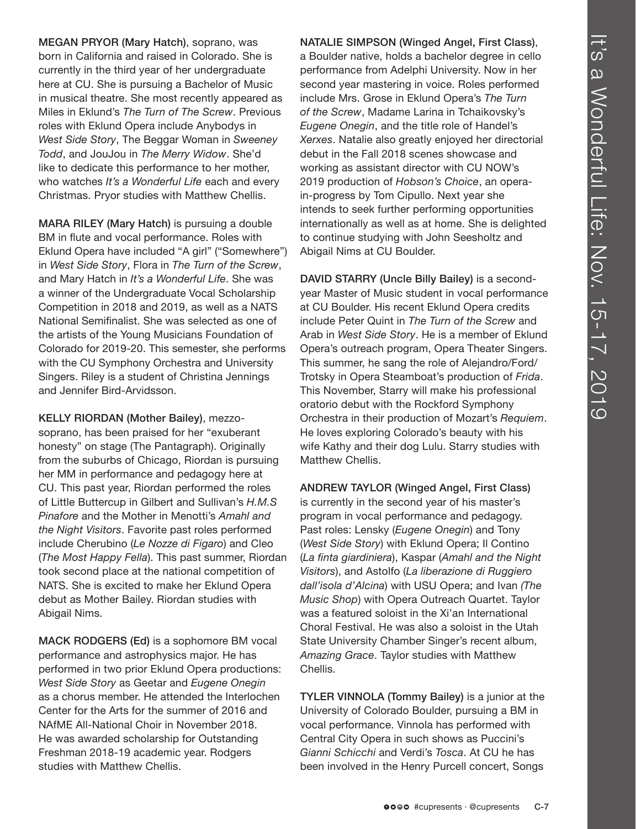MEGAN PRYOR (Mary Hatch), soprano, was born in California and raised in Colorado. She is currently in the third year of her undergraduate here at CU. She is pursuing a Bachelor of Music in musical theatre. She most recently appeared as Miles in Eklund's *The Turn of The Screw*. Previous roles with Eklund Opera include Anybodys in *West Side Story*, The Beggar Woman in *Sweeney Todd*, and JouJou in *The Merry Widow*. She'd like to dedicate this performance to her mother, who watches *It's a Wonderful Life* each and every Christmas. Pryor studies with Matthew Chellis.

MARA RILEY (Mary Hatch) is pursuing a double BM in flute and vocal performance. Roles with Eklund Opera have included "A girl" ("Somewhere") in *West Side Story*, Flora in *The Turn of the Screw*, and Mary Hatch in *It's a Wonderful Life*. She was a winner of the Undergraduate Vocal Scholarship Competition in 2018 and 2019, as well as a NATS National Semifinalist. She was selected as one of the artists of the Young Musicians Foundation of Colorado for 2019-20. This semester, she performs with the CU Symphony Orchestra and University Singers. Riley is a student of Christina Jennings and Jennifer Bird-Arvidsson.

KELLY RIORDAN (Mother Bailey), mezzosoprano, has been praised for her "exuberant honesty" on stage (The Pantagraph). Originally from the suburbs of Chicago, Riordan is pursuing her MM in performance and pedagogy here at CU. This past year, Riordan performed the roles of Little Buttercup in Gilbert and Sullivan's *H.M.S Pinafore* and the Mother in Menotti's *Amahl and the Night Visitors*. Favorite past roles performed include Cherubino (*Le Nozze di Figaro*) and Cleo (*The Most Happy Fella*). This past summer, Riordan took second place at the national competition of NATS. She is excited to make her Eklund Opera debut as Mother Bailey. Riordan studies with Abigail Nims.

MACK RODGERS (Ed) is a sophomore BM vocal performance and astrophysics major. He has performed in two prior Eklund Opera productions: *West Side Story* as Geetar and *Eugene Onegin* as a chorus member. He attended the Interlochen Center for the Arts for the summer of 2016 and NAfME All-National Choir in November 2018. He was awarded scholarship for Outstanding Freshman 2018-19 academic year. Rodgers studies with Matthew Chellis.

NATALIE SIMPSON (Winged Angel, First Class), a Boulder native, holds a bachelor degree in cello performance from Adelphi University. Now in her second year mastering in voice. Roles performed include Mrs. Grose in Eklund Opera's *The Turn of the Screw*, Madame Larina in Tchaikovsky's *Eugene Onegin*, and the title role of Handel's *Xerxes*. Natalie also greatly enjoyed her directorial debut in the Fall 2018 scenes showcase and working as assistant director with CU NOW's 2019 production of *Hobson's Choice*, an operain-progress by Tom Cipullo. Next year she intends to seek further performing opportunities internationally as well as at home. She is delighted to continue studying with John Seesholtz and Abigail Nims at CU Boulder.

DAVID STARRY (Uncle Billy Bailey) is a secondyear Master of Music student in vocal performance at CU Boulder. His recent Eklund Opera credits include Peter Quint in *The Turn of the Screw* and Arab in *West Side Story*. He is a member of Eklund Opera's outreach program, Opera Theater Singers. This summer, he sang the role of Alejandro/Ford/ Trotsky in Opera Steamboat's production of *Frida*. This November, Starry will make his professional oratorio debut with the Rockford Symphony Orchestra in their production of Mozart's *Requiem*. He loves exploring Colorado's beauty with his wife Kathy and their dog Lulu. Starry studies with Matthew Chellis.

ANDREW TAYLOR (Winged Angel, First Class) is currently in the second year of his master's program in vocal performance and pedagogy. Past roles: Lensky (*Eugene Onegin*) and Tony (*West Side Story*) with Eklund Opera; Il Contino (*La finta giardiniera*), Kaspar (*Amahl and the Night Visitors*), and Astolfo (*La liberazione di Ruggiero dall'isola d'Alcina*) with USU Opera; and Ivan *(The Music Shop*) with Opera Outreach Quartet. Taylor was a featured soloist in the Xi'an International Choral Festival. He was also a soloist in the Utah State University Chamber Singer's recent album, *Amazing Grace*. Taylor studies with Matthew Chellis.

TYLER VINNOLA (Tommy Bailey) is a junior at the University of Colorado Boulder, pursuing a BM in vocal performance. Vinnola has performed with Central City Opera in such shows as Puccini's *Gianni Schicchi* and Verdi's *Tosca*. At CU he has been involved in the Henry Purcell concert, Songs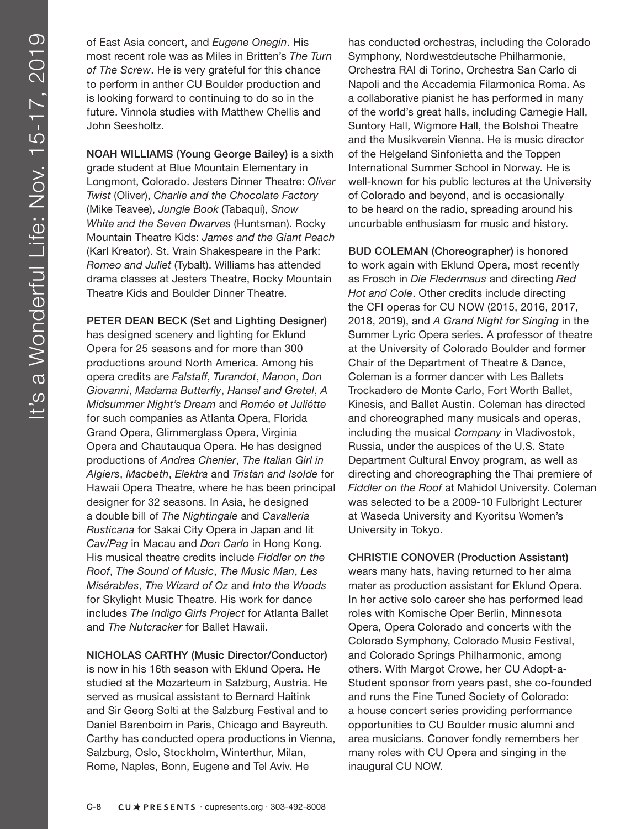of East Asia concert, and *Eugene Onegin*. His most recent role was as Miles in Britten's *The Turn of The Screw*. He is very grateful for this chance to perform in anther CU Boulder production and is looking forward to continuing to do so in the future. Vinnola studies with Matthew Chellis and John Seesholtz.

NOAH WILLIAMS (Young George Bailey) is a sixth grade student at Blue Mountain Elementary in Longmont, Colorado. Jesters Dinner Theatre: *Oliver Twist* (Oliver), *Charlie and the Chocolate Factory* (Mike Teavee), *Jungle Book* (Tabaqui), *Snow White and the Seven Dwarves* (Huntsman). Rocky Mountain Theatre Kids: *James and the Giant Peach*  (Karl Kreator). St. Vrain Shakespeare in the Park: *Romeo and Juliet* (Tybalt). Williams has attended drama classes at Jesters Theatre, Rocky Mountain Theatre Kids and Boulder Dinner Theatre.

PETER DEAN BECK (Set and Lighting Designer) has designed scenery and lighting for Eklund Opera for 25 seasons and for more than 300 productions around North America. Among his opera credits are *Falstaff*, *Turandot*, *Manon*, *Don Giovanni*, *Madama Butterfly*, *Hansel and Gretel*, *A Midsummer Night's Dream* and *Roméo et Juliétte* for such companies as Atlanta Opera, Florida Grand Opera, Glimmerglass Opera, Virginia Opera and Chautauqua Opera. He has designed productions of *Andrea Chenier*, *The Italian Girl in Algiers*, *Macbeth*, *Elektra* and *Tristan and Isolde* for Hawaii Opera Theatre, where he has been principal designer for 32 seasons. In Asia, he designed a double bill of *The Nightingale* and *Cavalleria Rusticana* for Sakai City Opera in Japan and lit *Cav/Pag* in Macau and *Don Carlo* in Hong Kong. His musical theatre credits include *Fiddler on the Roof*, *The Sound of Music*, *The Music Man*, *Les Misérables*, *The Wizard of Oz* and *Into the Woods* for Skylight Music Theatre. His work for dance includes *The Indigo Girls Project* for Atlanta Ballet and *The Nutcracker* for Ballet Hawaii.

NICHOLAS CARTHY (Music Director/Conductor) is now in his 16th season with Eklund Opera. He studied at the Mozarteum in Salzburg, Austria. He served as musical assistant to Bernard Haitink and Sir Georg Solti at the Salzburg Festival and to Daniel Barenboim in Paris, Chicago and Bayreuth. Carthy has conducted opera productions in Vienna, Salzburg, Oslo, Stockholm, Winterthur, Milan, Rome, Naples, Bonn, Eugene and Tel Aviv. He

has conducted orchestras, including the Colorado Symphony, Nordwestdeutsche Philharmonie, Orchestra RAI di Torino, Orchestra San Carlo di Napoli and the Accademia Filarmonica Roma. As a collaborative pianist he has performed in many of the world's great halls, including Carnegie Hall, Suntory Hall, Wigmore Hall, the Bolshoi Theatre and the Musikverein Vienna. He is music director of the Helgeland Sinfonietta and the Toppen International Summer School in Norway. He is well-known for his public lectures at the University of Colorado and beyond, and is occasionally to be heard on the radio, spreading around his uncurbable enthusiasm for music and history.

BUD COLEMAN (Choreographer) is honored to work again with Eklund Opera, most recently as Frosch in *Die Fledermaus* and directing *Red Hot and Cole*. Other credits include directing the CFI operas for CU NOW (2015, 2016, 2017, 2018, 2019), and *A Grand Night for Singing* in the Summer Lyric Opera series. A professor of theatre at the University of Colorado Boulder and former Chair of the Department of Theatre & Dance, Coleman is a former dancer with Les Ballets Trockadero de Monte Carlo, Fort Worth Ballet, Kinesis, and Ballet Austin. Coleman has directed and choreographed many musicals and operas, including the musical *Company* in Vladivostok, Russia, under the auspices of the U.S. State Department Cultural Envoy program, as well as directing and choreographing the Thai premiere of *Fiddler on the Roof* at Mahidol University. Coleman was selected to be a 2009-10 Fulbright Lecturer at Waseda University and Kyoritsu Women's University in Tokyo.

CHRISTIE CONOVER (Production Assistant) wears many hats, having returned to her alma mater as production assistant for Eklund Opera. In her active solo career she has performed lead roles with Komische Oper Berlin, Minnesota Opera, Opera Colorado and concerts with the Colorado Symphony, Colorado Music Festival, and Colorado Springs Philharmonic, among others. With Margot Crowe, her CU Adopt-a-Student sponsor from years past, she co-founded and runs the Fine Tuned Society of Colorado: a house concert series providing performance opportunities to CU Boulder music alumni and area musicians. Conover fondly remembers her many roles with CU Opera and singing in the inaugural CU NOW.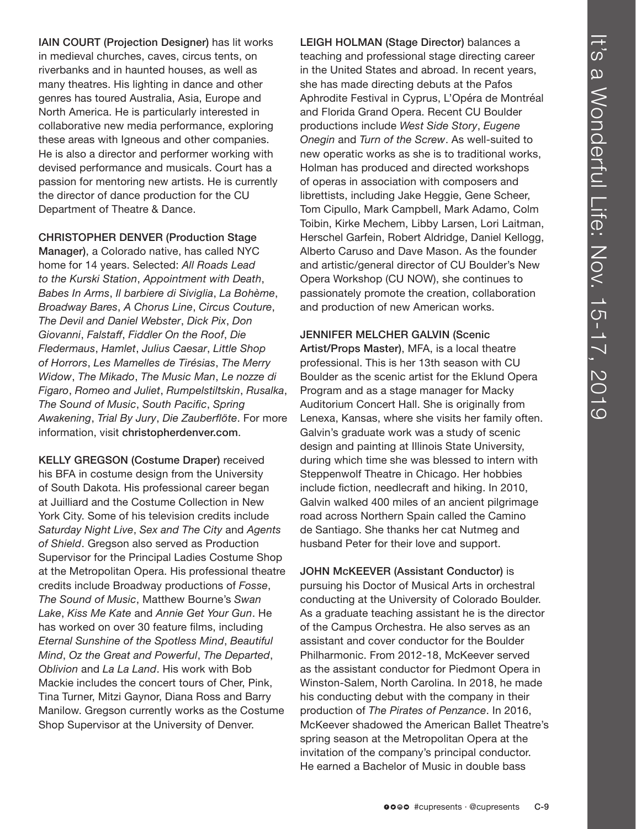IAIN COURT (Projection Designer) has lit works in medieval churches, caves, circus tents, on riverbanks and in haunted houses, as well as many theatres. His lighting in dance and other genres has toured Australia, Asia, Europe and North America. He is particularly interested in collaborative new media performance, exploring these areas with Igneous and other companies. He is also a director and performer working with devised performance and musicals. Court has a passion for mentoring new artists. He is currently the director of dance production for the CU Department of Theatre & Dance.

CHRISTOPHER DENVER (Production Stage

Manager), a Colorado native, has called NYC home for 14 years. Selected: *All Roads Lead to the Kurski Station*, *Appointment with Death*, *Babes In Arms*, *Il barbiere di Siviglia*, *La Bohème*, *Broadway Bares*, *A Chorus Line*, *Circus Couture*, *The Devil and Daniel Webster*, *Dick Pix*, *Don Giovanni*, *Falstaff*, *Fiddler On the Roof*, *Die Fledermaus*, *Hamlet*, *Julius Caesar*, *Little Shop of Horrors*, *Les Mamelles de Tirésias*, *The Merry Widow*, *The Mikado*, *The Music Man*, *Le nozze di Figaro*, *Romeo and Juliet*, *Rumpelstiltskin*, *Rusalka*, *The Sound of Music*, *South Pacific*, *Spring Awakening*, *Trial By Jury*, *Die Zauberflöte*. For more information, visit christopherdenver.com.

KELLY GREGSON (Costume Draper) received his BFA in costume design from the University of South Dakota. His professional career began at Juilliard and the Costume Collection in New York City. Some of his television credits include *Saturday Night Live*, *Sex and The City* and *Agents of Shield*. Gregson also served as Production Supervisor for the Principal Ladies Costume Shop at the Metropolitan Opera. His professional theatre credits include Broadway productions of *Fosse*, *The Sound of Music*, Matthew Bourne's *Swan Lake*, *Kiss Me Kate* and *Annie Get Your Gun*. He has worked on over 30 feature films, including *Eternal Sunshine of the Spotless Mind*, *Beautiful Mind*, *Oz the Great and Powerful*, *The Departed*, *Oblivion* and *La La Land*. His work with Bob Mackie includes the concert tours of Cher, Pink, Tina Turner, Mitzi Gaynor, Diana Ross and Barry Manilow. Gregson currently works as the Costume Shop Supervisor at the University of Denver.

LEIGH HOLMAN (Stage Director) balances a teaching and professional stage directing career in the United States and abroad. In recent years, she has made directing debuts at the Pafos Aphrodite Festival in Cyprus, L'Opéra de Montréal and Florida Grand Opera. Recent CU Boulder productions include *West Side Story*, *Eugene Onegin* and *Turn of the Screw*. As well-suited to new operatic works as she is to traditional works, Holman has produced and directed workshops of operas in association with composers and librettists, including Jake Heggie, Gene Scheer, Tom Cipullo, Mark Campbell, Mark Adamo, Colm Toibin, Kirke Mechem, Libby Larsen, Lori Laitman, Herschel Garfein, Robert Aldridge, Daniel Kellogg, Alberto Caruso and Dave Mason. As the founder and artistic/general director of CU Boulder's New Opera Workshop (CU NOW), she continues to passionately promote the creation, collaboration and production of new American works.

JENNIFER MELCHER GALVIN (Scenic Artist/Props Master), MFA, is a local theatre professional. This is her 13th season with CU Boulder as the scenic artist for the Eklund Opera Program and as a stage manager for Macky Auditorium Concert Hall. She is originally from Lenexa, Kansas, where she visits her family often. Galvin's graduate work was a study of scenic design and painting at Illinois State University, during which time she was blessed to intern with Steppenwolf Theatre in Chicago. Her hobbies include fiction, needlecraft and hiking. In 2010, Galvin walked 400 miles of an ancient pilgrimage road across Northern Spain called the Camino de Santiago. She thanks her cat Nutmeg and husband Peter for their love and support.

JOHN McKEEVER (Assistant Conductor) is pursuing his Doctor of Musical Arts in orchestral conducting at the University of Colorado Boulder. As a graduate teaching assistant he is the director of the Campus Orchestra. He also serves as an assistant and cover conductor for the Boulder Philharmonic. From 2012-18, McKeever served as the assistant conductor for Piedmont Opera in Winston-Salem, North Carolina. In 2018, he made his conducting debut with the company in their production of *The Pirates of Penzance*. In 2016, McKeever shadowed the American Ballet Theatre's spring season at the Metropolitan Opera at the invitation of the company's principal conductor. He earned a Bachelor of Music in double bass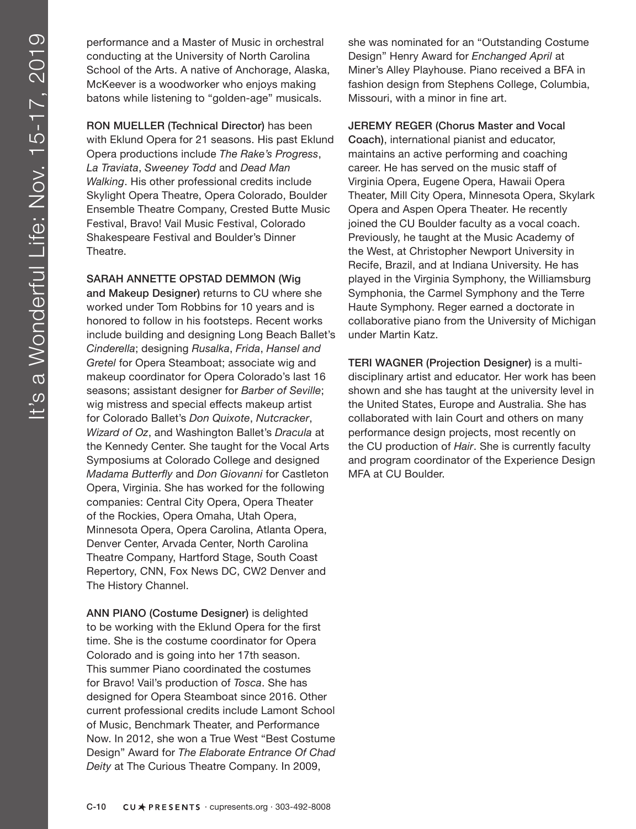performance and a Master of Music in orchestral conducting at the University of North Carolina School of the Arts. A native of Anchorage, Alaska, McKeever is a woodworker who enjoys making batons while listening to "golden-age" musicals.

RON MUELLER (Technical Director) has been with Eklund Opera for 21 seasons. His past Eklund Opera productions include *The Rake's Progress*, *La Traviata*, *Sweeney Todd* and *Dead Man Walking*. His other professional credits include Skylight Opera Theatre, Opera Colorado, Boulder Ensemble Theatre Company, Crested Butte Music Festival, Bravo! Vail Music Festival, Colorado Shakespeare Festival and Boulder's Dinner Theatre.

### SARAH ANNETTE OPSTAD DEMMON (Wig

and Makeup Designer) returns to CU where she worked under Tom Robbins for 10 years and is honored to follow in his footsteps. Recent works include building and designing Long Beach Ballet's *Cinderella*; designing *Rusalka*, *Frida*, *Hansel and Gretel* for Opera Steamboat; associate wig and makeup coordinator for Opera Colorado's last 16 seasons; assistant designer for *Barber of Seville*; wig mistress and special effects makeup artist for Colorado Ballet's *Don Quixote*, *Nutcracker*, *Wizard of Oz*, and Washington Ballet's *Dracula* at the Kennedy Center. She taught for the Vocal Arts Symposiums at Colorado College and designed *Madama Butterfly* and *Don Giovanni* for Castleton Opera, Virginia. She has worked for the following companies: Central City Opera, Opera Theater of the Rockies, Opera Omaha, Utah Opera, Minnesota Opera, Opera Carolina, Atlanta Opera, Denver Center, Arvada Center, North Carolina Theatre Company, Hartford Stage, South Coast Repertory, CNN, Fox News DC, CW2 Denver and The History Channel.

ANN PIANO (Costume Designer) is delighted to be working with the Eklund Opera for the first time. She is the costume coordinator for Opera Colorado and is going into her 17th season. This summer Piano coordinated the costumes for Bravo! Vail's production of *Tosca*. She has designed for Opera Steamboat since 2016. Other current professional credits include Lamont School of Music, Benchmark Theater, and Performance Now. In 2012, she won a True West "Best Costume Design" Award for *The Elaborate Entrance Of Chad Deity* at The Curious Theatre Company. In 2009,

she was nominated for an "Outstanding Costume Design" Henry Award for *Enchanged April* at Miner's Alley Playhouse. Piano received a BFA in fashion design from Stephens College, Columbia, Missouri, with a minor in fine art.

JEREMY REGER (Chorus Master and Vocal Coach), international pianist and educator, maintains an active performing and coaching career. He has served on the music staff of Virginia Opera, Eugene Opera, Hawaii Opera Theater, Mill City Opera, Minnesota Opera, Skylark Opera and Aspen Opera Theater. He recently joined the CU Boulder faculty as a vocal coach. Previously, he taught at the Music Academy of the West, at Christopher Newport University in Recife, Brazil, and at Indiana University. He has played in the Virginia Symphony, the Williamsburg Symphonia, the Carmel Symphony and the Terre Haute Symphony. Reger earned a doctorate in collaborative piano from the University of Michigan under Martin Katz.

TERI WAGNER (Projection Designer) is a multidisciplinary artist and educator. Her work has been shown and she has taught at the university level in the United States, Europe and Australia. She has collaborated with Iain Court and others on many performance design projects, most recently on the CU production of *Hair*. She is currently faculty and program coordinator of the Experience Design MFA at CU Boulder.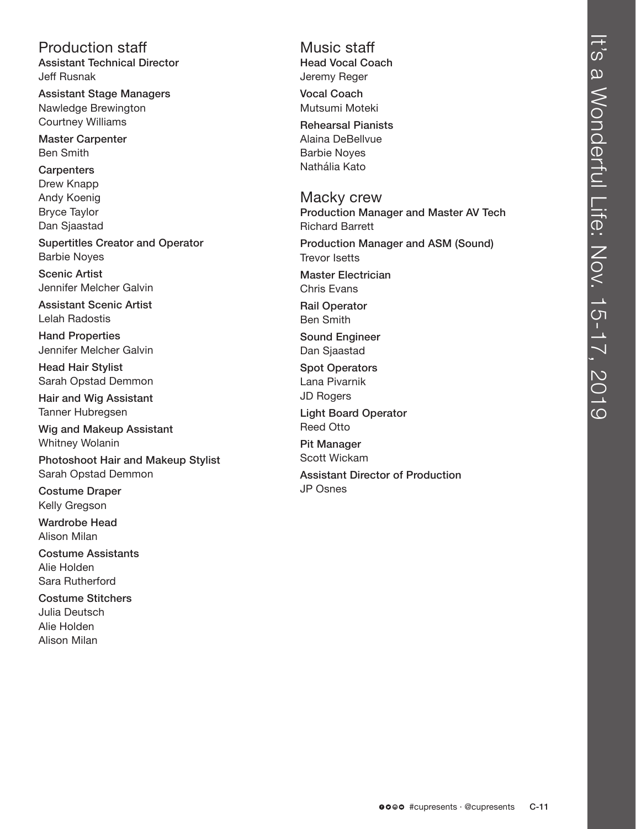Production staff Assistant Technical Director Jeff Rusnak

Assistant Stage Managers Nawledge Brewington Courtney Williams

Master Carpenter Ben Smith

**Carpenters** Drew Knapp Andy Koenig Bryce Taylor Dan Sjaastad

Supertitles Creator and Operator Barbie Noyes

Scenic Artist Jennifer Melcher Galvin

Assistant Scenic Artist Lelah Radostis

Hand Properties Jennifer Melcher Galvin

Head Hair Stylist Sarah Opstad Demmon

Hair and Wig Assistant Tanner Hubregsen

Wig and Makeup Assistant Whitney Wolanin

Photoshoot Hair and Makeup Stylist Sarah Opstad Demmon

Costume Draper Kelly Gregson

Wardrobe Head Alison Milan

Costume Assistants Alie Holden Sara Rutherford

Costume Stitchers Julia Deutsch Alie Holden Alison Milan

Music staff Head Vocal Coach Jeremy Reger

Vocal Coach Mutsumi Moteki

Rehearsal Pianists Alaina DeBellvue Barbie Noyes Nathália Kato

Macky crew Production Manager and Master AV Tech Richard Barrett

Production Manager and ASM (Sound) Trevor Isetts

Master Electrician Chris Evans

Rail Operator Ben Smith

Sound Engineer Dan Sjaastad

Spot Operators Lana Pivarnik JD Rogers

Light Board Operator Reed Otto

Pit Manager Scott Wickam Assistant Director of Production JP Osnes